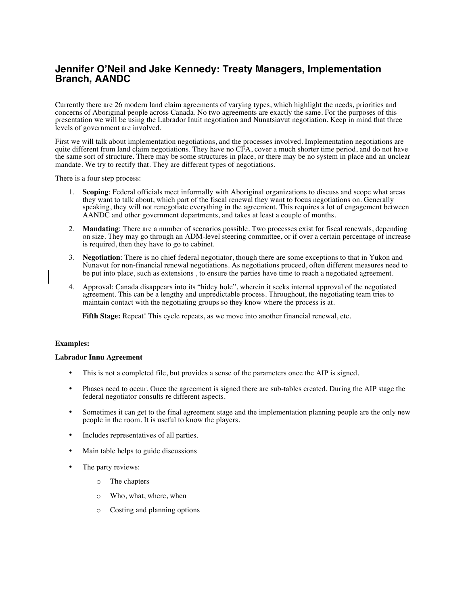# **Jennifer O'Neil and Jake Kennedy: Treaty Managers, Implementation Branch, AANDC**

Currently there are 26 modern land claim agreements of varying types, which highlight the needs, priorities and concerns of Aboriginal people across Canada. No two agreements are exactly the same. For the purposes of this presentation we will be using the Labrador Inuit negotiation and Nunatsiavut negotiation. Keep in mind that three levels of government are involved.

First we will talk about implementation negotiations, and the processes involved. Implementation negotiations are quite different from land claim negotiations. They have no CFA, cover a much shorter time period, and do not have the same sort of structure. There may be some structures in place, or there may be no system in place and an unclear mandate. We try to rectify that. They are different types of negotiations.

There is a four step process:

- 1. **Scoping**: Federal officials meet informally with Aboriginal organizations to discuss and scope what areas they want to talk about, which part of the fiscal renewal they want to focus negotiations on. Generally speaking, they will not renegotiate everything in the agreement. This requires a lot of engagement between AANDC and other government departments, and takes at least a couple of months.
- 2. **Mandating**: There are a number of scenarios possible. Two processes exist for fiscal renewals, depending on size. They may go through an ADM-level steering committee, or if over a certain percentage of increase is required, then they have to go to cabinet.
- 3. **Negotiation**: There is no chief federal negotiator, though there are some exceptions to that in Yukon and Nunavut for non-financial renewal negotiations. As negotiations proceed, often different measures need to be put into place, such as extensions , to ensure the parties have time to reach a negotiated agreement.
- 4. Approval: Canada disappears into its "hidey hole", wherein it seeks internal approval of the negotiated agreement. This can be a lengthy and unpredictable process. Throughout, the negotiating team tries to maintain contact with the negotiating groups so they know where the process is at.

**Fifth Stage:** Repeat! This cycle repeats, as we move into another financial renewal, etc.

## **Examples:**

### **Labrador Innu Agreement**

- This is not a completed file, but provides a sense of the parameters once the AIP is signed.
- Phases need to occur. Once the agreement is signed there are sub-tables created. During the AIP stage the federal negotiator consults re different aspects.
- Sometimes it can get to the final agreement stage and the implementation planning people are the only new people in the room. It is useful to know the players.
- Includes representatives of all parties.
- Main table helps to guide discussions
- The party reviews:
	- o The chapters
	- o Who, what, where, when
	- o Costing and planning options